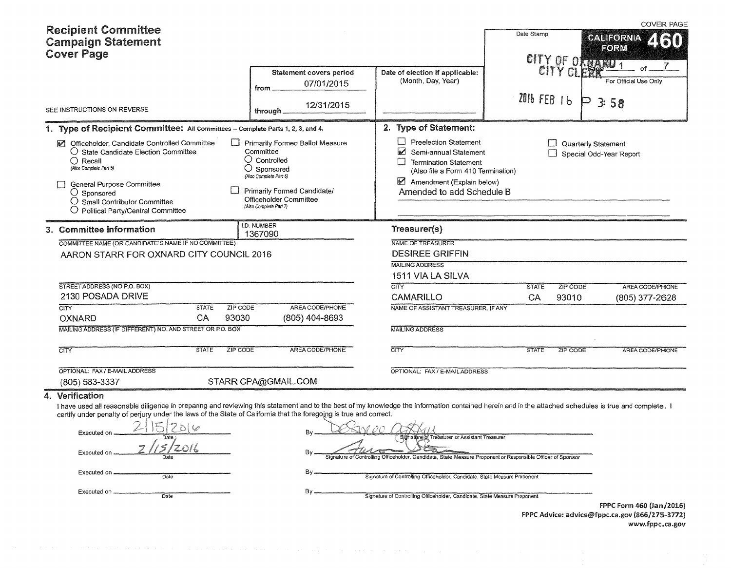| <b>Recipient Committee</b>                                                                                                                                                                                                                                                                                                                                                                                                                                 |                                                                                                                                                                                                            |                                                                                                                                                                                                                                                                                                                                        |                                         | <b>COVER PAGE</b>                                                                                                   |
|------------------------------------------------------------------------------------------------------------------------------------------------------------------------------------------------------------------------------------------------------------------------------------------------------------------------------------------------------------------------------------------------------------------------------------------------------------|------------------------------------------------------------------------------------------------------------------------------------------------------------------------------------------------------------|----------------------------------------------------------------------------------------------------------------------------------------------------------------------------------------------------------------------------------------------------------------------------------------------------------------------------------------|-----------------------------------------|---------------------------------------------------------------------------------------------------------------------|
| <b>Campaign Statement</b>                                                                                                                                                                                                                                                                                                                                                                                                                                  |                                                                                                                                                                                                            |                                                                                                                                                                                                                                                                                                                                        | Date Stamp                              | <b>CALIFORNIA</b><br>2130                                                                                           |
| <b>Cover Page</b>                                                                                                                                                                                                                                                                                                                                                                                                                                          |                                                                                                                                                                                                            |                                                                                                                                                                                                                                                                                                                                        | CITY OF ORDARD 1                        |                                                                                                                     |
|                                                                                                                                                                                                                                                                                                                                                                                                                                                            | <b>Statement covers period</b><br>07/01/2015                                                                                                                                                               | Date of election if applicable:<br>(Month, Day, Year)                                                                                                                                                                                                                                                                                  | CITY CLERK                              | For Official Use Only                                                                                               |
|                                                                                                                                                                                                                                                                                                                                                                                                                                                            | from                                                                                                                                                                                                       |                                                                                                                                                                                                                                                                                                                                        | 2016 FEB 16                             |                                                                                                                     |
| SEE INSTRUCTIONS ON REVERSE                                                                                                                                                                                                                                                                                                                                                                                                                                | 12/31/2015<br>through                                                                                                                                                                                      |                                                                                                                                                                                                                                                                                                                                        |                                         | P                                                                                                                   |
| 1. Type of Recipient Committee: All Committees - Complete Parts 1, 2, 3, and 4.                                                                                                                                                                                                                                                                                                                                                                            |                                                                                                                                                                                                            | 2. Type of Statement:                                                                                                                                                                                                                                                                                                                  |                                         |                                                                                                                     |
| Officeholder, Candidate Controlled Committee<br>M<br>○ State Candidate Election Committee<br>$\bigcirc$ Recall<br>(Also Complete Part 5)<br>General Purpose Committee<br>○ Sponsored<br>$\bigcirc$ Small Contributor Committee<br>$\bigcirc$ Political Party/Central Committee                                                                                                                                                                             | Primarily Formed Ballot Measure<br>Committee<br>$\bigcirc$ Controlled<br>$\bigcirc$ Sponsored<br>(Also Complete Part 6)<br>Primarily Formed Candidate/<br>Officeholder Committee<br>(Also Complete Part 7) | <b>Preelection Statement</b><br>Ø<br>Semi-annual Statement<br><b>Termination Statement</b><br>(Also file a Form 410 Termination)<br>Amendment (Explain below)<br>Amended to add Schedule B                                                                                                                                             |                                         | Quarterly Statement<br>Special Odd-Year Report                                                                      |
| 3. Committee Information                                                                                                                                                                                                                                                                                                                                                                                                                                   | I.D. NUMBER<br>1367090                                                                                                                                                                                     | Treasurer(s)                                                                                                                                                                                                                                                                                                                           |                                         |                                                                                                                     |
| COMMITTEE NAME (OR CANDIDATE'S NAME IF NO COMMITTEE)                                                                                                                                                                                                                                                                                                                                                                                                       |                                                                                                                                                                                                            | <b>NAME OF TREASURER</b>                                                                                                                                                                                                                                                                                                               |                                         |                                                                                                                     |
| AARON STARR FOR OXNARD CITY COUNCIL 2016                                                                                                                                                                                                                                                                                                                                                                                                                   |                                                                                                                                                                                                            | <b>DESIREE GRIFFIN</b>                                                                                                                                                                                                                                                                                                                 |                                         |                                                                                                                     |
|                                                                                                                                                                                                                                                                                                                                                                                                                                                            |                                                                                                                                                                                                            | <b>MAILING ADDRESS</b>                                                                                                                                                                                                                                                                                                                 |                                         | FORM<br>3:58<br>AREA CODE/PHONE<br>(805) 377-2628<br>AREA CODE/PHONE<br>FPPC Form 460 (Jan/2016)<br>www.fppc.ca.gov |
|                                                                                                                                                                                                                                                                                                                                                                                                                                                            |                                                                                                                                                                                                            | 1511 VIA LA SILVA                                                                                                                                                                                                                                                                                                                      |                                         |                                                                                                                     |
| STREET ADDRESS (NO P.O. BOX)<br>2130 POSADA DRIVE                                                                                                                                                                                                                                                                                                                                                                                                          |                                                                                                                                                                                                            | CITY<br>CAMARILLO                                                                                                                                                                                                                                                                                                                      | <b>STATE</b><br>ZIP CODE<br>CA<br>93010 |                                                                                                                     |
| ZIP CODE<br>CITY<br><b>STATE</b>                                                                                                                                                                                                                                                                                                                                                                                                                           | AREA CODE/PHONE                                                                                                                                                                                            | NAME OF ASSISTANT TREASURER, IF ANY                                                                                                                                                                                                                                                                                                    |                                         |                                                                                                                     |
| CA<br>93030<br><b>OXNARD</b>                                                                                                                                                                                                                                                                                                                                                                                                                               | (805) 404-8693                                                                                                                                                                                             |                                                                                                                                                                                                                                                                                                                                        |                                         |                                                                                                                     |
| MAILING ADDRESS (IF DIFFERENT) NO. AND STREET OR P.O. BOX                                                                                                                                                                                                                                                                                                                                                                                                  |                                                                                                                                                                                                            | <b>MAILING ADDRESS</b>                                                                                                                                                                                                                                                                                                                 |                                         |                                                                                                                     |
| <b>STATE</b><br>ZIP CODE<br><b>CITY</b>                                                                                                                                                                                                                                                                                                                                                                                                                    | AREA CODE/PHONE                                                                                                                                                                                            | CITY                                                                                                                                                                                                                                                                                                                                   | <b>STATE</b><br>ZIP CODE                |                                                                                                                     |
| OPTIONAL: FAX / E-MAIL ADDRESS                                                                                                                                                                                                                                                                                                                                                                                                                             |                                                                                                                                                                                                            | OPTIONAL: FAX / E-MAIL ADDRESS                                                                                                                                                                                                                                                                                                         |                                         |                                                                                                                     |
| (805) 583-3337                                                                                                                                                                                                                                                                                                                                                                                                                                             | STARR CPA@GMAIL.COM                                                                                                                                                                                        |                                                                                                                                                                                                                                                                                                                                        |                                         |                                                                                                                     |
| 4. Verification<br>I have used all reasonable diligence in preparing and reviewing this statement and to the best of my knowledge the information contained herein and in the attached schedules is true and complete. I<br>certify under penalty of perjury under the laws of the State of California that the foregoing is true and correct.<br>$2 15 2$ d $\varphi$<br>Executed on<br>Date<br>Executed on<br>Executed on<br>Date<br>Executed on<br>Date | Bγ                                                                                                                                                                                                         | SANDO OSTXII<br>Signature of Treasurer or Assistant Treasurer<br>Signature of Controlling Officeholder, Candidate, State Measure Proponent or Responsible Officer of Sponsor<br>Signature of Controlling Officeholder, Candidate, State Measure Proponent<br>Signature of Controlling Officeholder, Candidate, State Measure Proponent |                                         | FPPC Advice: advice@fppc.ca.gov (866/275-3772)                                                                      |
|                                                                                                                                                                                                                                                                                                                                                                                                                                                            |                                                                                                                                                                                                            |                                                                                                                                                                                                                                                                                                                                        |                                         |                                                                                                                     |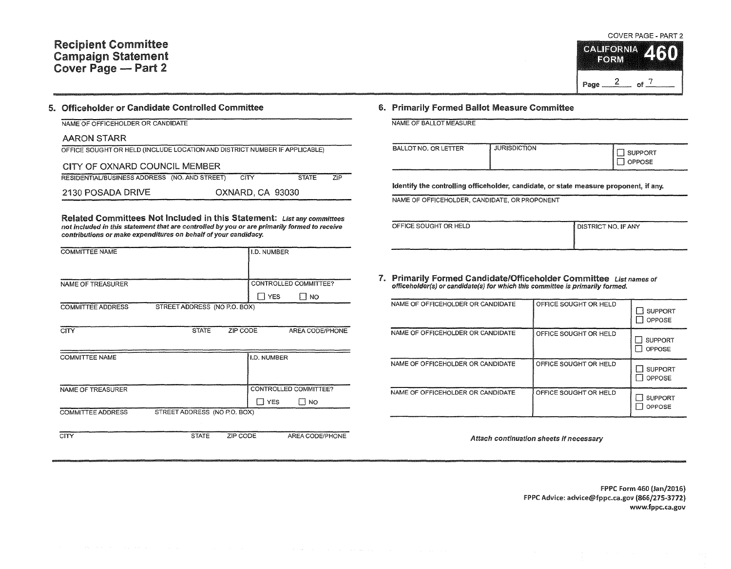#### COVER PAGE - PART 2



#### 5. Officeholder or Candidate Controlled Committee

NAME OF OFFICEHOLDER OR CANDIDATE

#### AARON STARR

| OFFICE SOUGHT OR HELD (INCLUDE LOCATION AND DISTRICT NUMBER IF APPLICABLE) |  |
|----------------------------------------------------------------------------|--|
|                                                                            |  |

CITY OF OXNARD COUNCIL MEMBER RESIDENTIAUBUSINESS ADDRESS (NO. AND STREET) CITY STATE 2130 POSADA DRIVE OXNARD, CA 93030 ZIP

Related Committees Not Included in this Statement: List any committees not included in this statement that are controlled by you or are primarily formed to receive contributions or make expenditures on behalf of your candidacy.

| <b>COMMITTEE NAME</b>    |                              |          | I.D. NUMBER   |                       |
|--------------------------|------------------------------|----------|---------------|-----------------------|
|                          |                              |          |               |                       |
| NAME OF TREASURER        |                              |          |               | CONTROLLED COMMITTEE? |
|                          |                              |          | <b>TI YES</b> | l I NO                |
| <b>COMMITTEE ADDRESS</b> | STREET ADDRESS (NO P.O. BOX) |          |               |                       |
|                          |                              |          |               |                       |
| CITY                     | <b>STATE</b>                 | ZIP CODE |               | AREA CODE/PHONE       |
|                          |                              |          |               |                       |
| <b>COMMITTEE NAME</b>    |                              |          | I.D. NUMBER   |                       |
|                          |                              |          |               |                       |
|                          |                              |          |               |                       |
| NAME OF TREASURER        |                              |          |               | CONTROLLED COMMITTEE? |
|                          |                              |          | ∏ YES         | $\Box$ No             |
| <b>COMMITTEE ADDRESS</b> | STREET ADDRESS (NO P.O. BOX) |          |               |                       |
|                          |                              |          |               |                       |
| CITY                     | <b>STATE</b>                 | ZIP CODE |               | AREA CODE/PHONE       |

### 6. Primarily Formed Ballot Measure Committee

NAME OF BALLOT MEASURE

| BALLOT NO. OR LETTER | <b>JURISDICTION</b><br>_<br>____ | SUPPORT<br><b>OPPOSE</b> |
|----------------------|----------------------------------|--------------------------|
|----------------------|----------------------------------|--------------------------|

Identify the controlling officeholder, candidate, or state measure proponent, if any.

NAME OF OFFICEHOLDER, CANDIDATE, OR PROPONENT

OFFICE SOUGHT OR HELD **DISTRICT NO. IF ANY** 

7. Primarily Formed Candidate/Officeholder Committee List names of officeholder(s) or candidate(s) for which this committee is primarily formed.

| NAME OF OFFICEHOLDER OR CANDIDATE | OFFICE SOUGHT OR HELD | <b>SUPPORT</b><br>OPPOSE |
|-----------------------------------|-----------------------|--------------------------|
| NAME OF OFFICEHOLDER OR CANDIDATE | OFFICE SOUGHT OR HELD | <b>SUPPORT</b><br>OPPOSE |
| NAME OF OFFICEHOLDER OR CANDIDATE | OFFICE SOUGHT OR HELD | <b>SUPPORT</b><br>OPPOSE |
| NAME OF OFFICEHOLDER OR CANDIDATE | OFFICE SOUGHT OR HELD | <b>SUPPORT</b><br>OPPOSE |

Attach continuation sheets if necessary

FPPC Form 460 (Jan/2016) FPPC Advice: advice@fppc.ca.gov (866/275-3772) www.fppc.ca.gov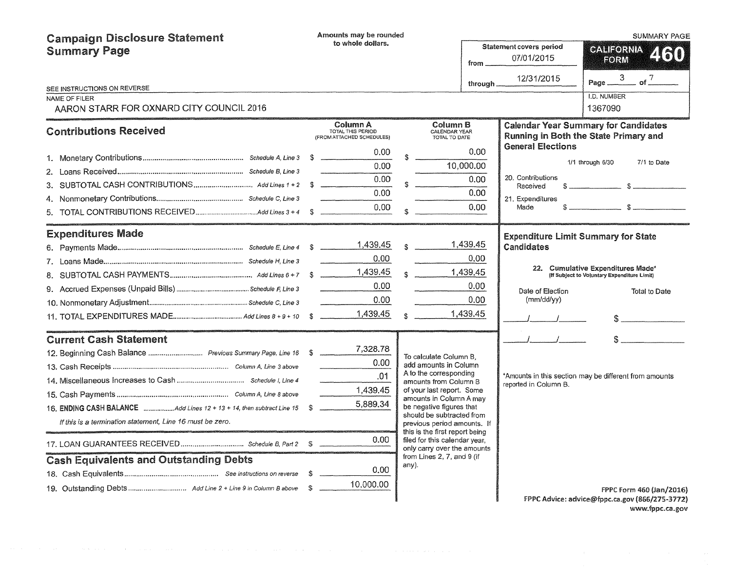| <b>Campaign Disclosure Statement</b>                                     | Amounts may be rounded |                                                            |                                                          |                                                                                                |                                |                                                                 | SUMMARY PAGE                                                                         |
|--------------------------------------------------------------------------|------------------------|------------------------------------------------------------|----------------------------------------------------------|------------------------------------------------------------------------------------------------|--------------------------------|-----------------------------------------------------------------|--------------------------------------------------------------------------------------|
| <b>Summary Page</b>                                                      |                        | to whole dollars.                                          |                                                          |                                                                                                | <b>Statement covers period</b> | <b>CALIFORNIA</b><br>2160                                       |                                                                                      |
|                                                                          |                        |                                                            | 07/01/2015<br>from _                                     |                                                                                                |                                |                                                                 | FORM                                                                                 |
| SEE INSTRUCTIONS ON REVERSE                                              |                        |                                                            |                                                          |                                                                                                | through _                      | 12/31/2015                                                      | $=$ of $^{7}$<br>Page $\frac{3}{2}$                                                  |
| NAME OF FILER                                                            |                        |                                                            |                                                          |                                                                                                |                                |                                                                 | <b>I.D. NUMBER</b>                                                                   |
| AARON STARR FOR OXNARD CITY COUNCIL 2016                                 |                        |                                                            |                                                          |                                                                                                |                                |                                                                 | 1367090                                                                              |
| <b>Contributions Received</b>                                            |                        | Column A<br>TOTAL THIS PERIOD<br>(FROM ATTACHED SCHEDULES) |                                                          | Column B<br>CALENDAR YEAR<br>TOTAL TO DATE                                                     |                                |                                                                 | <b>Calendar Year Summary for Candidates</b><br>Running in Both the State Primary and |
|                                                                          |                        | 0.00                                                       | \$                                                       |                                                                                                | 0.00                           | <b>General Elections</b>                                        |                                                                                      |
|                                                                          |                        | 0.00                                                       |                                                          |                                                                                                | 10,000.00                      |                                                                 | 1/1 through 6/30<br>7/1 to Date                                                      |
| 3.                                                                       |                        | 0.00                                                       |                                                          | $S$ .                                                                                          | 0.00                           | 20. Contributions<br>Received                                   |                                                                                      |
| 4.                                                                       |                        | 0.00                                                       |                                                          |                                                                                                | 0.00 <sub>1</sub>              | 21. Expenditures                                                |                                                                                      |
|                                                                          |                        | 0.00                                                       | $\mathbf{S}$                                             |                                                                                                | 0.00                           | Made                                                            |                                                                                      |
| <b>Expenditures Made</b>                                                 |                        |                                                            |                                                          |                                                                                                |                                |                                                                 |                                                                                      |
|                                                                          |                        |                                                            |                                                          | $\mathbf{s}$                                                                                   | 1,439.45                       | <b>Expenditure Limit Summary for State</b><br><b>Candidates</b> |                                                                                      |
|                                                                          |                        | 0.00 <sub>1</sub>                                          |                                                          |                                                                                                | 0.00                           |                                                                 |                                                                                      |
|                                                                          |                        | 1,439.45                                                   |                                                          | $\mathbf{s}$                                                                                   | 1,439.45                       |                                                                 | 22. Cumulative Expenditures Made*<br>(If Subject to Voluntary Expenditure Limit)     |
|                                                                          |                        | 0.00                                                       |                                                          |                                                                                                | 0.00                           | Date of Election                                                | Total to Date                                                                        |
|                                                                          |                        | 0.00<br>$\begin{array}{c} \hline \end{array}$              |                                                          |                                                                                                | 0.00                           | (mm/dd/yy)                                                      |                                                                                      |
|                                                                          |                        | 1,439.45                                                   |                                                          | $\mathbf{S}$                                                                                   | 1,439.45                       |                                                                 | $\sim$                                                                               |
| <b>Current Cash Statement</b>                                            |                        |                                                            |                                                          |                                                                                                |                                | $\mathcal{L} = \mathcal{L}$                                     |                                                                                      |
|                                                                          |                        | 7,328.78                                                   |                                                          |                                                                                                |                                |                                                                 |                                                                                      |
|                                                                          |                        | 0.00                                                       |                                                          | To calculate Column B,<br>add amounts in Column                                                |                                |                                                                 |                                                                                      |
|                                                                          |                        | .01                                                        |                                                          | A to the corresponding<br>amounts from Column B                                                |                                |                                                                 | *Amounts in this section may be different from amounts                               |
|                                                                          |                        | 1,439.45                                                   |                                                          | of your last report. Some                                                                      |                                | reported in Column B.                                           |                                                                                      |
| 16. ENDING CASH BALANCE Add Lines 12 + 13 + 14, then subtract Line 15 \$ |                        | 5,889.34                                                   |                                                          | amounts in Column A may<br>be negative figures that                                            |                                |                                                                 |                                                                                      |
| If this is a termination statement, Line 16 must be zero.                |                        |                                                            | should be subtracted from<br>previous period amounts. If |                                                                                                |                                |                                                                 |                                                                                      |
|                                                                          |                        | 0.00.                                                      |                                                          | this is the first report being<br>filed for this calendar vear.<br>only carry over the amounts |                                |                                                                 |                                                                                      |
| <b>Cash Equivalents and Outstanding Debts</b>                            |                        |                                                            |                                                          | from Lines 2, 7, and 9 (if                                                                     |                                |                                                                 |                                                                                      |
|                                                                          |                        | 0.00                                                       |                                                          | any).                                                                                          |                                |                                                                 |                                                                                      |
|                                                                          |                        | 10,000.00                                                  |                                                          |                                                                                                |                                |                                                                 | FPPC Form 460 (Jan/2016)                                                             |
|                                                                          |                        |                                                            |                                                          |                                                                                                |                                |                                                                 | FPPC Advice: advice@fppc.ca.gov (866/275-3772)                                       |

www.fppc.ca.gov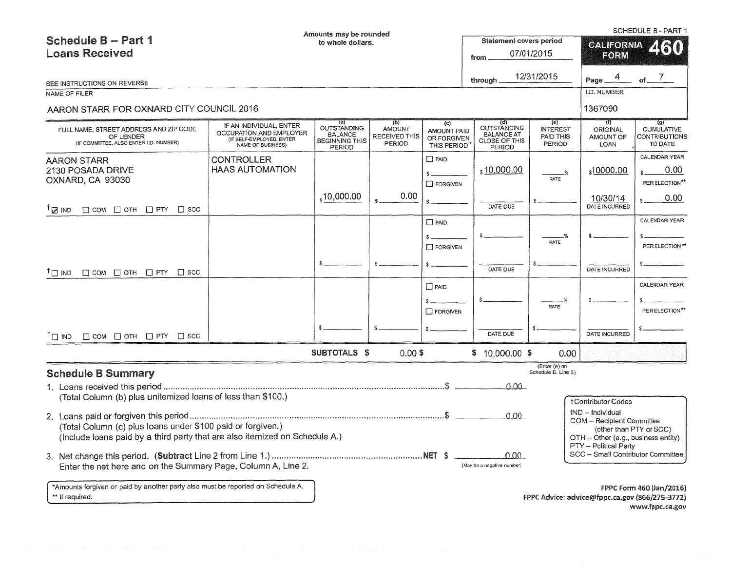| Schedule B - Part 1                                                                                                                        |                                                                                                     | Amounts may be rounded                                                  |                                                 |                                                         | SCHEDULE B - PART 1<br><b>Statement covers period</b>              |                                                                                                               |                                             |                                                                                                                     |
|--------------------------------------------------------------------------------------------------------------------------------------------|-----------------------------------------------------------------------------------------------------|-------------------------------------------------------------------------|-------------------------------------------------|---------------------------------------------------------|--------------------------------------------------------------------|---------------------------------------------------------------------------------------------------------------|---------------------------------------------|---------------------------------------------------------------------------------------------------------------------|
| <b>Loans Received</b>                                                                                                                      |                                                                                                     | to whole dollars.                                                       |                                                 |                                                         | from                                                               | 07/01/2015                                                                                                    | <b>CALIFORNIA</b><br>EORM                   |                                                                                                                     |
|                                                                                                                                            |                                                                                                     |                                                                         |                                                 |                                                         |                                                                    |                                                                                                               |                                             |                                                                                                                     |
| SEE INSTRUCTIONS ON REVERSE                                                                                                                |                                                                                                     |                                                                         |                                                 |                                                         | through                                                            | 12/31/2015                                                                                                    | 4<br>Page _                                 | $\mathcal{I}$<br>of                                                                                                 |
| NAME OF FILER                                                                                                                              |                                                                                                     |                                                                         |                                                 |                                                         |                                                                    |                                                                                                               | I.D. NUMBER                                 |                                                                                                                     |
| AARON STARR FOR OXNARD CITY COUNCIL 2016                                                                                                   |                                                                                                     |                                                                         |                                                 |                                                         |                                                                    |                                                                                                               | 1367090                                     |                                                                                                                     |
| FULL NAME, STREET ADDRESS AND ZIP CODE<br>OF LENDER<br>(IF COMMITTEE, ALSO ENTER I.D. NUMBER)                                              | IF AN INDIVIDUAL, ENTER<br>OCCUPATION AND EMPLOYER<br>(IF SELF-EMPLOYED, ENTER<br>NAME OF BUSINESS) | (a)<br>OUTSTANDING<br><b>BALANCE</b><br><b>BEGINNING THIS</b><br>PERIOD | (b)<br><b>AMOUNT</b><br>RECEIVED THIS<br>PERIOD | (c)<br><b>AMOUNT PAID</b><br>OR FORGIVEN<br>THIS PERIOD | (d)<br>OUTSTANDING<br><b>BALANCE AT</b><br>CLOSE OF THIS<br>PERIOD | (e)<br><b>INTEREST</b><br>PAID THIS<br>PERIOD                                                                 | 71)<br><b>ORIGINAL</b><br>AMOUNT OF<br>LOAN | $\overline{(g)}$<br><b>CUMULATIVE</b><br>CONTRIBUTIONS<br>TO DATE                                                   |
| <b>AARON STARR</b><br>2130 POSADA DRIVE<br>OXNARD, CA 93030                                                                                | <b>CONTROLLER</b><br><b>HAAS AUTOMATION</b>                                                         |                                                                         | 0.00                                            | $\Box$ PAID<br>$\square$ FORGIVEN                       | <sub>s</sub> 10,000.00                                             | <b>RATE</b>                                                                                                   | \$10000.00                                  | CALENDAR YEAR<br>0.00<br>PER ELECTION**                                                                             |
| $\mathbb{Z}$ ind<br>$\Box$ COM $\Box$ OTH $\Box$ PTY $\Box$ SCC                                                                            |                                                                                                     | ,10,000.00                                                              |                                                 |                                                         | DATE DUE                                                           |                                                                                                               | 10/30/14<br>DATE INCURRED                   | 0.00                                                                                                                |
|                                                                                                                                            |                                                                                                     |                                                                         |                                                 | $\Box$ PAID<br>$\Box$ FORGIVEN                          |                                                                    | RATE                                                                                                          |                                             | CALENDAR YEAR<br>PER ELECTION <sup>**</sup>                                                                         |
| $\top$ $\Box$ IND<br>$\Box$ COM $\Box$ OTH $\Box$ PTY $\Box$ SCC                                                                           |                                                                                                     |                                                                         | \$.                                             | $s -$                                                   | DATE DUE                                                           |                                                                                                               | DATE INCURRED                               |                                                                                                                     |
|                                                                                                                                            |                                                                                                     |                                                                         |                                                 | $\Box$ PAID                                             |                                                                    |                                                                                                               |                                             | CALENDAR YEAR                                                                                                       |
|                                                                                                                                            |                                                                                                     |                                                                         |                                                 | <b>T</b> FORGIVEN                                       |                                                                    | RATE                                                                                                          |                                             | PER ELECTION**                                                                                                      |
| $\Box$ COM $\Box$ OTH $\Box$ PTY $\Box$ SCC<br>$T \square$ IND                                                                             |                                                                                                     |                                                                         | £.                                              |                                                         | DATE DUE                                                           |                                                                                                               | <b>DATE INCURRED</b>                        |                                                                                                                     |
|                                                                                                                                            |                                                                                                     | SUBTOTALS \$                                                            | $0.00$ \$                                       |                                                         | $$10,000.00$ \$                                                    | 0.00                                                                                                          |                                             |                                                                                                                     |
| <b>Schedule B Summary</b>                                                                                                                  |                                                                                                     |                                                                         |                                                 |                                                         |                                                                    | (Enter (e) on<br>Schedule E. Line 3)                                                                          |                                             |                                                                                                                     |
|                                                                                                                                            |                                                                                                     |                                                                         |                                                 |                                                         | ے مم                                                               |                                                                                                               |                                             |                                                                                                                     |
| (Total Column (b) plus unitemized loans of less than \$100.)                                                                               |                                                                                                     |                                                                         |                                                 |                                                         |                                                                    |                                                                                                               | <b>†Contributor Codes</b>                   |                                                                                                                     |
| (Total Column (c) plus loans under \$100 paid or forgiven.)<br>(Include loans paid by a third party that are also itemized on Schedule A.) |                                                                                                     |                                                                         |                                                 | 0.00                                                    |                                                                    | IND - Individual<br>COM - Recipient Committee<br>OTH - Other (e.g., business entity)<br>PTY - Political Party | (other than PTY or SCC)                     |                                                                                                                     |
| Enter the net here and on the Summary Page, Column A, Line 2.                                                                              |                                                                                                     |                                                                         |                                                 |                                                         | 0.00<br>(May be a negative number)                                 |                                                                                                               | SCC - Small Contributor Committee           |                                                                                                                     |
| *Amounts forgiven or paid by another party also must be reported on Schedule A.<br>** If required.                                         |                                                                                                     |                                                                         |                                                 |                                                         |                                                                    |                                                                                                               |                                             | FPPC Form 460 (Jan/2016)<br>FPPC Advice: advice@fppc.ca.gov (866/275-3772)<br><b><i>Experience Same an more</i></b> |

www.fppc.ca.gov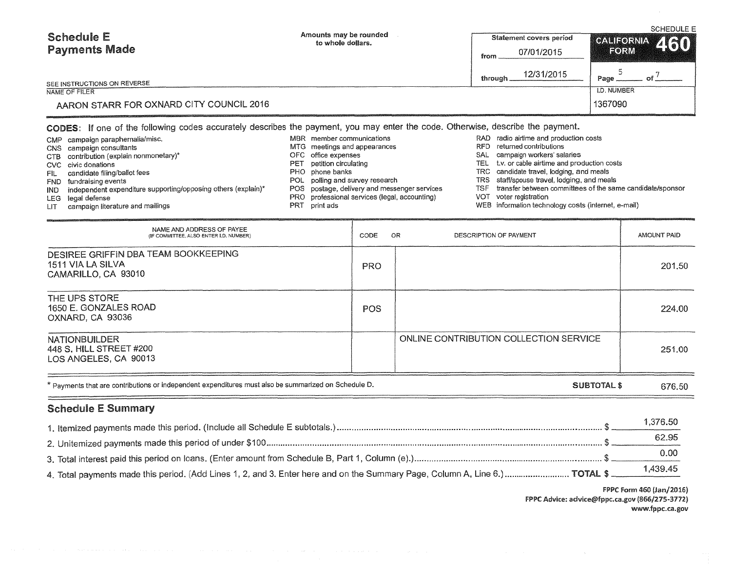| <b>Schedule E</b><br><b>Payments Made</b>                 | Amounts may be rounded<br>to whole dollars.                                                                                                                  | Statement covers period<br>07/01/2015<br>from | <b>SCHEDULE E</b><br>CALIFORNIA 460<br>FORM |
|-----------------------------------------------------------|--------------------------------------------------------------------------------------------------------------------------------------------------------------|-----------------------------------------------|---------------------------------------------|
| SEE INSTRUCTIONS ON REVERSE                               |                                                                                                                                                              | 12/31/2015<br>through                         | Page                                        |
| NAME OF FILER<br>AARON STARR FOR OXNARD CITY COUNCIL 2016 | <b>I.D. NUMBER</b><br>1367090                                                                                                                                |                                               |                                             |
| CMP campaign paraphernalia/misc.                          | CODES: If one of the following codes accurately describes the payment, you may enter the code. Otherwise, describe the payment.<br>MBR member communications | RAD radio airlime and production costs        |                                             |

|      | CNS campaign consultants                                      | MTG meetings and appearances                  |       | RFD returned contributions                                |
|------|---------------------------------------------------------------|-----------------------------------------------|-------|-----------------------------------------------------------|
|      | CTB contribution (explain nonmonetary)*                       | OFC office expenses                           | SAL   | campaign workers' salaries                                |
|      | CVC civic donations                                           | PET petition circulating                      |       | TEL t.v. or cable airtime and production costs            |
|      | candidate filing/ballot fees                                  | PHO phone banks                               |       | TRC candidate travel, lodging, and meals                  |
|      | FND fundraising events                                        | POL polling and survey research               |       | TRS staff/spouse travel, lodging, and meals               |
| IND. | independent expenditure supporting/opposing others (explain)* | POS postage, delivery and messenger services  | TSF - | transfer between committees of the same candidate/sponsor |
|      | LEG legal defense                                             | PRO professional services (legal, accounting) |       | VOT voter registration                                    |
|      | campaign literature and mailings                              | PRT print ads                                 |       | WEB information technology costs (internet, e-mail)       |

- LIT campaign literature and mailings
- NAME AND ADDRESS OF PAYEE (IF COMMITTEE, ALSO ENTER l.D. NUMBER) DESIREE GRIFFIN DBA TEAM BOOKKEEPING 1511 VIA LA SILVA CAMARILLO, CA 93010 THE UPS STORE 1650 E. GONZALES ROAD OXNARD, CA 93036 CODE OR PRO POS DESCRIPTION OF PAYMENT **AMOUNT PAID** 201.50 224.00 NATIONBUILDER **ON THE CONTRIBUTION COLLECTION SERVICE** 448 S. HILL STREET #200 251.00 LOS ANGELES, CA 90013

\* Payments that are contributions or independent expenditures must also be summarized on Schedule D. SUBTOTAL \$ 676.50

## Schedule E Summary

 $\equiv$ 

| 1.376.50 |
|----------|
| 62.95    |
| 0.00     |
|          |

FPPC Form 460 (Jan/2016) FPPC Advice: advice@fppc.ca.gov (866/275-3772) www.fppc.ca.gov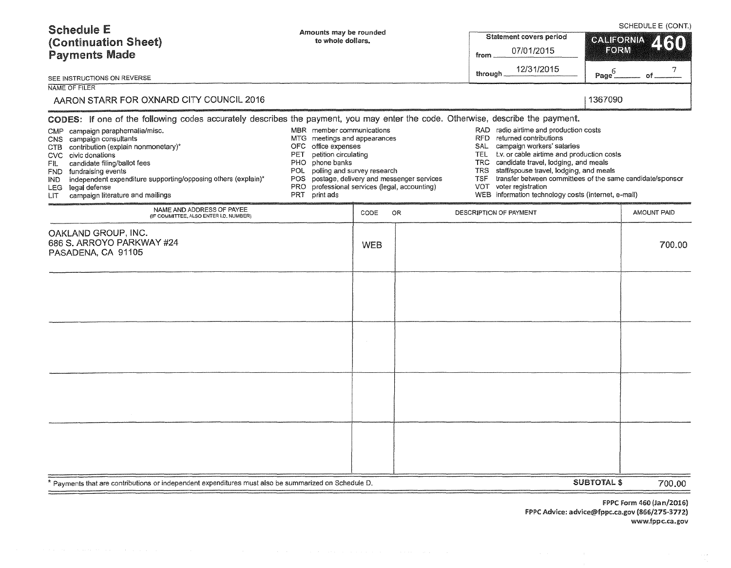| <b>Schedule E</b><br>(Continuation Sheet)<br><b>Payments Made</b><br>SEE INSTRUCTIONS ON REVERSE<br><b>NAME OF FILER</b><br>AARON STARR FOR OXNARD CITY COUNCIL 2016<br>CODES: If one of the following codes accurately describes the payment, you may enter the code. Otherwise, describe the payment.<br>campaign paraphernalia/misc.<br>CMP<br>CNS campaign consultants<br>MTG.<br>contribution (explain nonmonetary)*<br>OFC.<br>CTB<br>PET<br>civic donations<br>CVC.<br>PHO.<br>candidate filing/ballot fees<br>FIL<br>POL<br>fundraising events<br>FND. | Amounts may be rounded<br>to whole dollars.<br>MBR member communications<br>meetings and appearances<br>office expenses<br>petition circulating<br>phone banks<br>polling and survey research<br>postage, delivery and messenger services |    |            | SCHEDULE E (CONT.)<br>Statement covers period<br>CALIFORNIA<br>2 (SO)<br>FORM<br>07/01/2015<br>from<br>12/31/2015<br>$\mathsf{Page}^6_-$<br>through<br>of<br>1367090<br>RAD radio airtime and production costs<br>returned contributions<br>RFD.<br>campaign workers' salaries<br>SAL.<br>t.v. or cable airtime and production costs<br>TEL<br>TRC candidate travel, lodging, and meals<br><b>TRS</b><br>staff/spouse travel, lodging, and meals |                    |             |
|----------------------------------------------------------------------------------------------------------------------------------------------------------------------------------------------------------------------------------------------------------------------------------------------------------------------------------------------------------------------------------------------------------------------------------------------------------------------------------------------------------------------------------------------------------------|-------------------------------------------------------------------------------------------------------------------------------------------------------------------------------------------------------------------------------------------|----|------------|--------------------------------------------------------------------------------------------------------------------------------------------------------------------------------------------------------------------------------------------------------------------------------------------------------------------------------------------------------------------------------------------------------------------------------------------------|--------------------|-------------|
| independent expenditure supporting/opposing others (explain)*<br><b>POS</b><br>IND.<br><b>PRO</b><br>LEG legal defense<br>print ads<br>campaign literature and mailings<br>PRT<br>LIT<br>NAME AND ADDRESS OF PAYEE<br>(IF COMMITTEE, ALSO ENTER I.D. NUMBER)                                                                                                                                                                                                                                                                                                   | professional services (legal, accounting)<br>CODE                                                                                                                                                                                         | 0R | <b>TSF</b> | transfer between committees of the same candidate/sponsor<br>VOT voter registration<br>WEB information technology costs (internet, e-mail)<br>DESCRIPTION OF PAYMENT                                                                                                                                                                                                                                                                             |                    | AMOUNT PAID |
| OAKLAND GROUP, INC.<br>686 S. ARROYO PARKWAY #24<br>PASADENA, CA 91105                                                                                                                                                                                                                                                                                                                                                                                                                                                                                         | <b>WEB</b>                                                                                                                                                                                                                                |    |            |                                                                                                                                                                                                                                                                                                                                                                                                                                                  |                    | 700.00      |
| Payments that are contributions or independent expenditures must also be summarized on Schedule D.                                                                                                                                                                                                                                                                                                                                                                                                                                                             |                                                                                                                                                                                                                                           |    |            |                                                                                                                                                                                                                                                                                                                                                                                                                                                  | <b>SUBTOTAL \$</b> | 700.00      |

FPPC Form 460 (Jan/2016) FPPC Advice: advice@fppc.ca.gov (866/275-3772) www.fppc.ca.gov

=